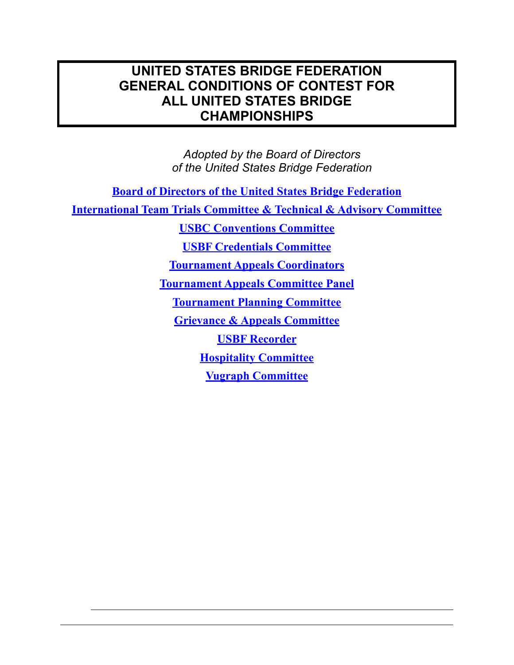## **UNITED STATES BRIDGE FEDERATION GENERAL CONDITIONS OF CONTEST FOR ALL UNITED STATES BRIDGE CHAMPIONSHIPS**

*Adopted by the Board of Directors of the United States Bridge Federation* 

**[Board of Directors of the United States Bridge Federation](http://www.usbf.org/usbf-operations/board-of-directors) [International Team Trials Committee](http://www.usbf.org/usbf-committees/ittc) & Technical & Advisory Committee [USBC Conventions Committee](http://usbf.org/index.php?option=com_content&view=article&id=1688&catid=893&Itemid=200239) [USBF Credentials Committee](http://www.usbf.org/usbf-committees/credentials-committee) [Tournament Appeals Coordinators](http://usbf.org/usbf-committees/tournament-appeals-committee-panel)  [Tournament Appeals Committee Panel](http://usbf.org/usbf-committees/tournament-appeals-committee-panel)  [Tournament Planning Committee](http://www.usbf.org/usbf-committees/tournament-planning-committee) [Grievance & Appeals Committee](http://www.usbf.org/usbf-committees/grievance-a-appeals-committee) [USBF Recorder](http://www.usbf.org/usbf-committees/usbf-recorder) [Hospitality Committee](http://www.usbf.org/usbf-committees/hospitality-committee) [Vugraph Committee](http://www.usbf.org/usbf-committees/vugraph-committee)**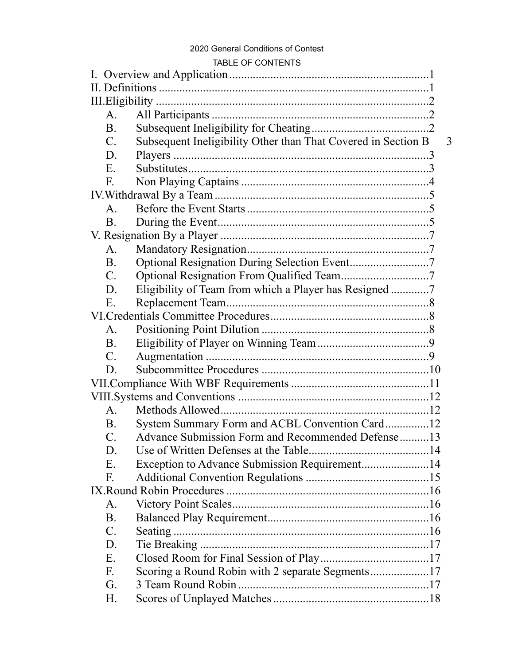#### 2020 General Conditions of Contest

#### TABLE OF CONTENTS

|  | $A_{\cdot}$          |                                                               |  |   |
|--|----------------------|---------------------------------------------------------------|--|---|
|  | <b>B</b> .           |                                                               |  |   |
|  | $C$ .                | Subsequent Ineligibility Other than That Covered in Section B |  | 3 |
|  | D.                   |                                                               |  |   |
|  | E.                   |                                                               |  |   |
|  | F.                   |                                                               |  |   |
|  |                      |                                                               |  |   |
|  | $\mathsf{A}_{\cdot}$ |                                                               |  |   |
|  | <b>B</b> .           |                                                               |  |   |
|  |                      |                                                               |  |   |
|  | A.                   |                                                               |  |   |
|  | <b>B</b> .           |                                                               |  |   |
|  | $\mathbf{C}$ .       |                                                               |  |   |
|  | D.                   | Eligibility of Team from which a Player has Resigned 7        |  |   |
|  | Ε.                   |                                                               |  |   |
|  |                      |                                                               |  |   |
|  | A.                   |                                                               |  |   |
|  | <b>B</b> .           |                                                               |  |   |
|  | $\mathcal{C}$ .      |                                                               |  |   |
|  | D.                   |                                                               |  |   |
|  |                      |                                                               |  |   |
|  |                      |                                                               |  |   |
|  | $A_{1}$              |                                                               |  |   |
|  | <b>B</b> .           | System Summary Form and ACBL Convention Card12                |  |   |
|  | $\mathcal{C}$ .      | Advance Submission Form and Recommended Defense13             |  |   |
|  | D.                   |                                                               |  |   |
|  | Ε.                   | Exception to Advance Submission Requirement14                 |  |   |
|  | F.                   |                                                               |  |   |
|  |                      |                                                               |  |   |
|  | A.                   |                                                               |  |   |
|  | <b>B</b> .           |                                                               |  |   |
|  | $\mathcal{C}$ .      |                                                               |  |   |
|  | D.                   |                                                               |  |   |
|  | Ε.                   |                                                               |  |   |
|  | F.                   | Scoring a Round Robin with 2 separate Segments17              |  |   |
|  | G.                   | 3 Team Round Robin                                            |  |   |
|  | Н.                   |                                                               |  |   |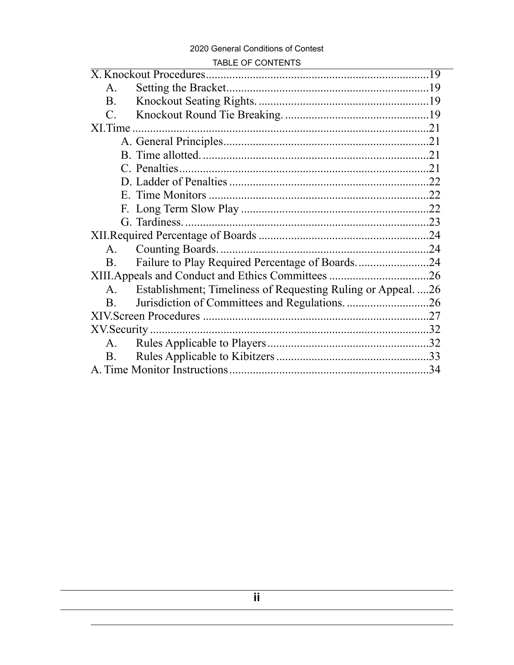#### 2020 General Conditions of Contest

#### TABLE OF CONTENTS

 $\overline{\phantom{a}}$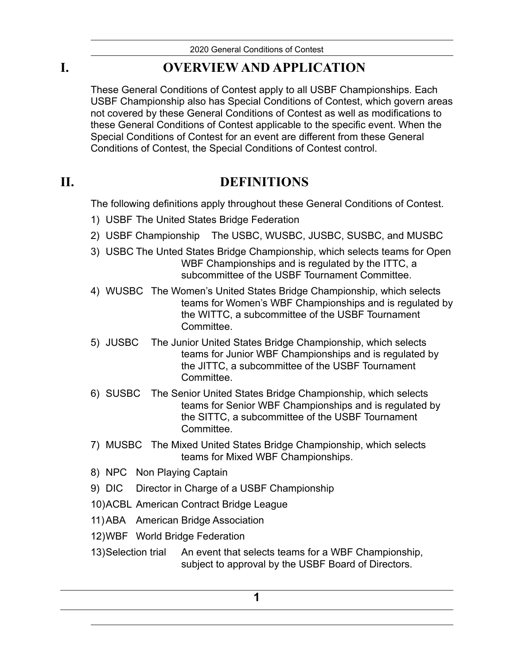# **I. OVERVIEW AND APPLICATION**

<span id="page-3-0"></span>These General Conditions of Contest apply to all USBF Championships. Each USBF Championship also has Special Conditions of Contest, which govern areas not covered by these General Conditions of Contest as well as modifications to these General Conditions of Contest applicable to the specific event. When the Special Conditions of Contest for an event are different from these General Conditions of Contest, the Special Conditions of Contest control.

# **II. DEFINITIONS**

<span id="page-3-1"></span>The following definitions apply throughout these General Conditions of Contest.

- 1) USBF The United States Bridge Federation
- 2) USBF Championship The USBC, WUSBC, JUSBC, SUSBC, and MUSBC
- 3) USBC The Unted States Bridge Championship, which selects teams for Open WBF Championships and is regulated by the ITTC, a subcommittee of the USBF Tournament Committee.
- 4) WUSBC The Women's United States Bridge Championship, which selects teams for Women's WBF Championships and is regulated by the WITTC, a subcommittee of the USBF Tournament Committee.
- 5) JUSBC The Junior United States Bridge Championship, which selects teams for Junior WBF Championships and is regulated by the JITTC, a subcommittee of the USBF Tournament **Committee.**
- 6) SUSBC The Senior United States Bridge Championship, which selects teams for Senior WBF Championships and is regulated by the SITTC, a subcommittee of the USBF Tournament Committee.
- 7) MUSBC The Mixed United States Bridge Championship, which selects teams for Mixed WBF Championships.
- 8) NPC Non Playing Captain
- 9) DIC Director in Charge of a USBF Championship
- 10)ACBL American Contract Bridge League
- 11)ABA American Bridge Association
- 12)WBF World Bridge Federation
- 13)Selection trial An event that selects teams for a WBF Championship, subject to approval by the USBF Board of Directors.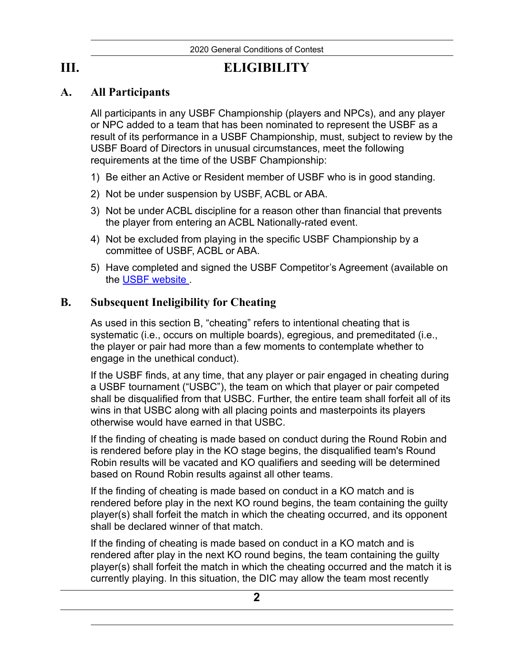**III. ELIGIBILITY** 

## **A. All Participants**

<span id="page-4-1"></span><span id="page-4-0"></span>All participants in any USBF Championship (players and NPCs), and any player or NPC added to a team that has been nominated to represent the USBF as a result of its performance in a USBF Championship, must, subject to review by the USBF Board of Directors in unusual circumstances, meet the following requirements at the time of the USBF Championship:

- 1) Be either an Active or Resident member of USBF who is in good standing.
- 2) Not be under suspension by USBF, ACBL or ABA.
- 3) Not be under ACBL discipline for a reason other than financial that prevents the player from entering an ACBL Nationally-rated event.
- 4) Not be excluded from playing in the specific USBF Championship by a committee of USBF, ACBL or ABA.
- 5) Have completed and signed the USBF Competitor's Agreement (available on the [USBF website](http://www.usbf.org/docs/COC/USBF-Competitors-Agreement-FINAL.pdf) .

## **B. Subsequent Ineligibility for Cheating**

<span id="page-4-2"></span>As used in this section B, "cheating" refers to intentional cheating that is systematic (i.e., occurs on multiple boards), egregious, and premeditated (i.e., the player or pair had more than a few moments to contemplate whether to engage in the unethical conduct).

If the USBF finds, at any time, that any player or pair engaged in cheating during a USBF tournament ("USBC"), the team on which that player or pair competed shall be disqualified from that USBC. Further, the entire team shall forfeit all of its wins in that USBC along with all placing points and masterpoints its players otherwise would have earned in that USBC.

If the finding of cheating is made based on conduct during the Round Robin and is rendered before play in the KO stage begins, the disqualified team's Round Robin results will be vacated and KO qualifiers and seeding will be determined based on Round Robin results against all other teams.

If the finding of cheating is made based on conduct in a KO match and is rendered before play in the next KO round begins, the team containing the guilty player(s) shall forfeit the match in which the cheating occurred, and its opponent shall be declared winner of that match.

If the finding of cheating is made based on conduct in a KO match and is rendered after play in the next KO round begins, the team containing the guilty player(s) shall forfeit the match in which the cheating occurred and the match it is currently playing. In this situation, the DIC may allow the team most recently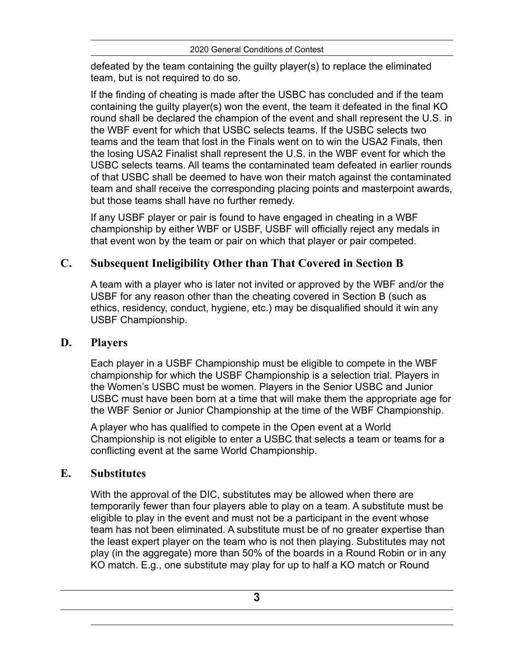defeated by the team containing the guilty player(s) to replace the eliminated team, but is not required to do so.

If the finding of cheating is made after the USBC has concluded and if the team containing the guilty player(s) won the event, the team it defeated in the final KO round shall be declared the champion of the event and shall represent the U.S. in the WBF event for which that USBC selects teams. If the USBC selects two teams and the team that lost in the Finals went on to win the USA2 Finals, then the losing USA2 Finalist shall represent the U.S. in the WBF event for which the USBC selects teams. All teams the contaminated team defeated in earlier rounds of that USBC shall be deemed to have won their match against the contaminated team and shall receive the corresponding placing points and masterpoint awards, but those teams shall have no further remedy.

If any USBF player or pair is found to have engaged in cheating in a WBF championship by either WBF or USBF, USBF will officially reject any medals in that event won by the team or pair on which that player or pair competed.

## **C. Subsequent Ineligibility Other than That Covered in Section B**

<span id="page-5-0"></span>A team with a player who is later not invited or approved by the WBF and/or the USBF for any reason other than the cheating covered in Section B (such as ethics, residency, conduct, hygiene, etc.) may be disqualified should it win any USBF Championship.

## **D. Players**

<span id="page-5-1"></span>Each player in a USBF Championship must be eligible to compete in the WBF championship for which the USBF Championship is a selection trial. Players in the Women's USBC must be women. Players in the Senior USBC and Junior USBC must have been born at a time that will make them the appropriate age for the WBF Senior or Junior Championship at the time of the WBF Championship.

A player who has qualified to compete in the Open event at a World Championship is not eligible to enter a USBC that selects a team or teams for a conflicting event at the same World Championship.

## **E. Substitutes**

<span id="page-5-2"></span>With the approval of the DIC, substitutes may be allowed when there are temporarily fewer than four players able to play on a team. A substitute must be eligible to play in the event and must not be a participant in the event whose team has not been eliminated. A substitute must be of no greater expertise than the least expert player on the team who is not then playing. Substitutes may not play (in the aggregate) more than 50% of the boards in a Round Robin or in any KO match. E.g., one substitute may play for up to half a KO match or Round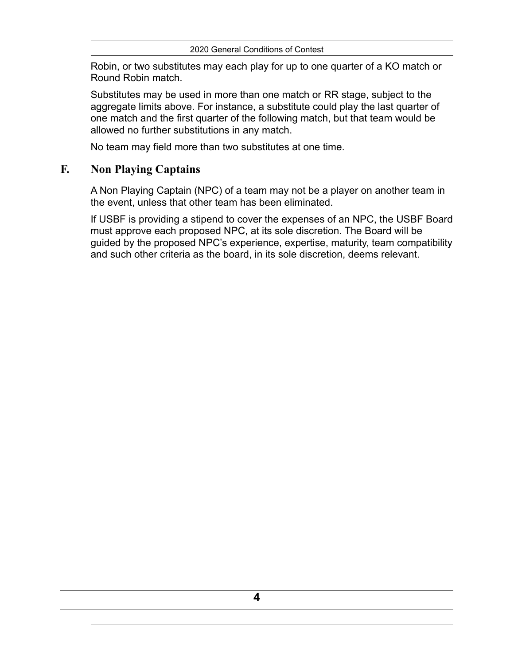Robin, or two substitutes may each play for up to one quarter of a KO match or Round Robin match.

Substitutes may be used in more than one match or RR stage, subject to the aggregate limits above. For instance, a substitute could play the last quarter of one match and the first quarter of the following match, but that team would be allowed no further substitutions in any match.

<span id="page-6-0"></span>No team may field more than two substitutes at one time.

### **F. Non Playing Captains**

A Non Playing Captain (NPC) of a team may not be a player on another team in the event, unless that other team has been eliminated.

If USBF is providing a stipend to cover the expenses of an NPC, the USBF Board must approve each proposed NPC, at its sole discretion. The Board will be guided by the proposed NPC's experience, expertise, maturity, team compatibility and such other criteria as the board, in its sole discretion, deems relevant.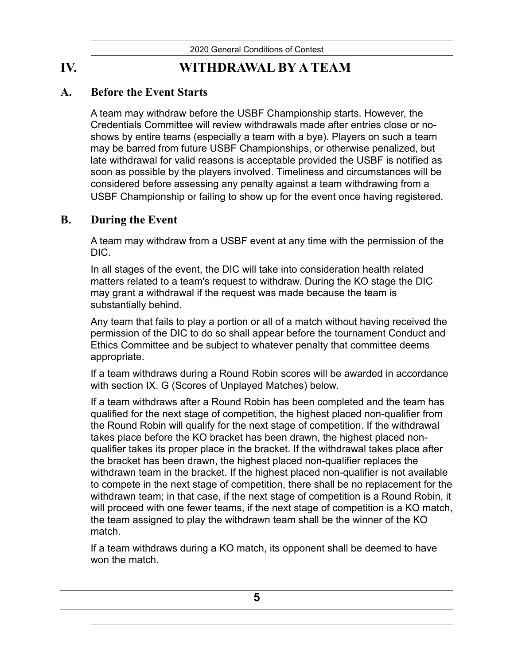# **IV. WITHDRAWAL BY A TEAM**

## **A. Before the Event Starts**

<span id="page-7-1"></span><span id="page-7-0"></span>A team may withdraw before the USBF Championship starts. However, the Credentials Committee will review withdrawals made after entries close or noshows by entire teams (especially a team with a bye). Players on such a team may be barred from future USBF Championships, or otherwise penalized, but late withdrawal for valid reasons is acceptable provided the USBF is notified as soon as possible by the players involved. Timeliness and circumstances will be considered before assessing any penalty against a team withdrawing from a USBF Championship or failing to show up for the event once having registered.

## **B. During the Event**

<span id="page-7-2"></span>A team may withdraw from a USBF event at any time with the permission of the DIC.

In all stages of the event, the DIC will take into consideration health related matters related to a team's request to withdraw. During the KO stage the DIC may grant a withdrawal if the request was made because the team is substantially behind.

Any team that fails to play a portion or all of a match without having received the permission of the DIC to do so shall appear before the tournament Conduct and Ethics Committee and be subject to whatever penalty that committee deems appropriate.

If a team withdraws during a Round Robin scores will be awarded in accordance with section IX. G (Scores of Unplayed Matches) below.

If a team withdraws after a Round Robin has been completed and the team has qualified for the next stage of competition, the highest placed non-qualifier from the Round Robin will qualify for the next stage of competition. If the withdrawal takes place before the KO bracket has been drawn, the highest placed nonqualifier takes its proper place in the bracket. If the withdrawal takes place after the bracket has been drawn, the highest placed non-qualifier replaces the withdrawn team in the bracket. If the highest placed non-qualifier is not available to compete in the next stage of competition, there shall be no replacement for the withdrawn team; in that case, if the next stage of competition is a Round Robin, it will proceed with one fewer teams, if the next stage of competition is a KO match, the team assigned to play the withdrawn team shall be the winner of the KO match.

If a team withdraws during a KO match, its opponent shall be deemed to have won the match.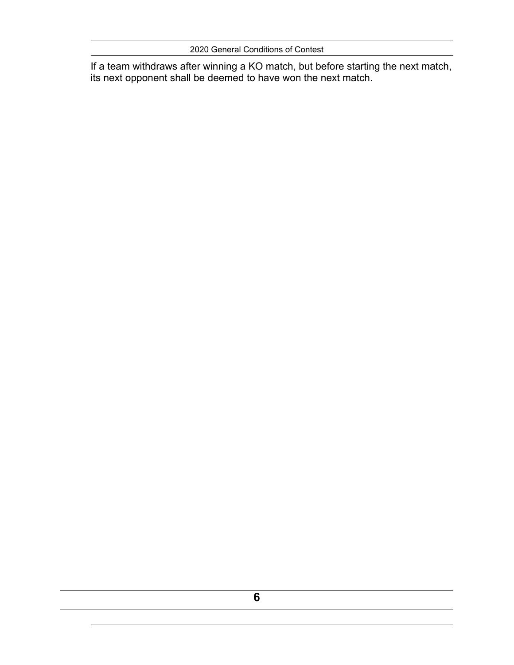2020 General Conditions of Contest

If a team withdraws after winning a KO match, but before starting the next match, its next opponent shall be deemed to have won the next match.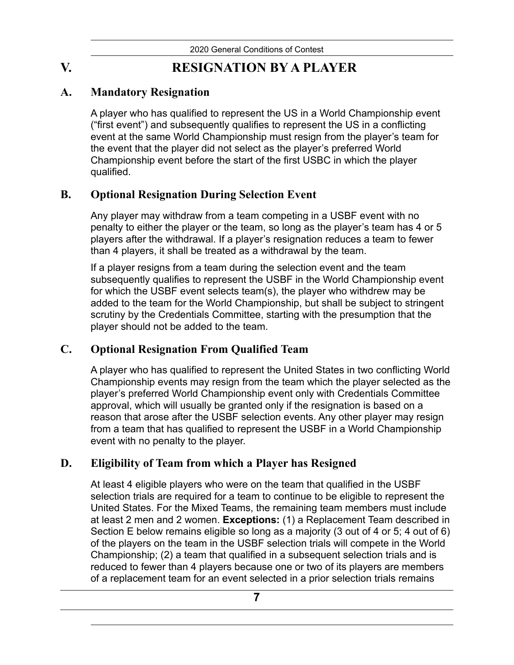# **V. RESIGNATION BY A PLAYER**

## **A. Mandatory Resignation**

<span id="page-9-1"></span><span id="page-9-0"></span>A player who has qualified to represent the US in a World Championship event ("first event") and subsequently qualifies to represent the US in a conflicting event at the same World Championship must resign from the player's team for the event that the player did not select as the player's preferred World Championship event before the start of the first USBC in which the player qualified.

## **B. Optional Resignation During Selection Event**

<span id="page-9-2"></span>Any player may withdraw from a team competing in a USBF event with no penalty to either the player or the team, so long as the player's team has 4 or 5 players after the withdrawal. If a player's resignation reduces a team to fewer than 4 players, it shall be treated as a withdrawal by the team.

If a player resigns from a team during the selection event and the team subsequently qualifies to represent the USBF in the World Championship event for which the USBF event selects team(s), the player who withdrew may be added to the team for the World Championship, but shall be subject to stringent scrutiny by the Credentials Committee, starting with the presumption that the player should not be added to the team.

## **C. Optional Resignation From Qualified Team**

<span id="page-9-3"></span>A player who has qualified to represent the United States in two conflicting World Championship events may resign from the team which the player selected as the player's preferred World Championship event only with Credentials Committee approval, which will usually be granted only if the resignation is based on a reason that arose after the USBF selection events. Any other player may resign from a team that has qualified to represent the USBF in a World Championship event with no penalty to the player.

## **D. Eligibility of Team from which a Player has Resigned**

<span id="page-9-4"></span>At least 4 eligible players who were on the team that qualified in the USBF selection trials are required for a team to continue to be eligible to represent the United States. For the Mixed Teams, the remaining team members must include at least 2 men and 2 women. **Exceptions:** (1) a Replacement Team described in Section E below remains eligible so long as a majority (3 out of 4 or 5; 4 out of 6) of the players on the team in the USBF selection trials will compete in the World Championship; (2) a team that qualified in a subsequent selection trials and is reduced to fewer than 4 players because one or two of its players are members of a replacement team for an event selected in a prior selection trials remains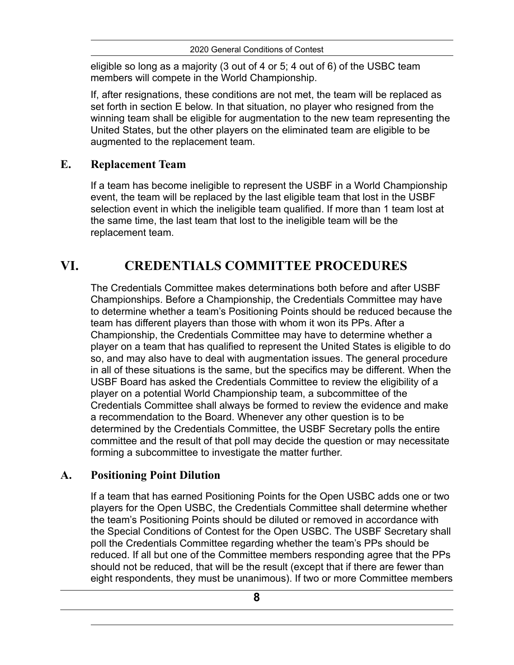eligible so long as a majority (3 out of 4 or 5; 4 out of 6) of the USBC team members will compete in the World Championship.

If, after resignations, these conditions are not met, the team will be replaced as set forth in section E below. In that situation, no player who resigned from the winning team shall be eligible for augmentation to the new team representing the United States, but the other players on the eliminated team are eligible to be augmented to the replacement team.

## **E. Replacement Team**

<span id="page-10-0"></span>If a team has become ineligible to represent the USBF in a World Championship event, the team will be replaced by the last eligible team that lost in the USBF selection event in which the ineligible team qualified. If more than 1 team lost at the same time, the last team that lost to the ineligible team will be the replacement team.

# **VI. CREDENTIALS COMMITTEE PROCEDURES**

<span id="page-10-1"></span>The Credentials Committee makes determinations both before and after USBF Championships. Before a Championship, the Credentials Committee may have to determine whether a team's Positioning Points should be reduced because the team has different players than those with whom it won its PPs. After a Championship, the Credentials Committee may have to determine whether a player on a team that has qualified to represent the United States is eligible to do so, and may also have to deal with augmentation issues. The general procedure in all of these situations is the same, but the specifics may be different. When the USBF Board has asked the Credentials Committee to review the eligibility of a player on a potential World Championship team, a subcommittee of the Credentials Committee shall always be formed to review the evidence and make a recommendation to the Board. Whenever any other question is to be determined by the Credentials Committee, the USBF Secretary polls the entire committee and the result of that poll may decide the question or may necessitate forming a subcommittee to investigate the matter further.

## **A. Positioning Point Dilution**

<span id="page-10-2"></span>If a team that has earned Positioning Points for the Open USBC adds one or two players for the Open USBC, the Credentials Committee shall determine whether the team's Positioning Points should be diluted or removed in accordance with the Special Conditions of Contest for the Open USBC. The USBF Secretary shall poll the Credentials Committee regarding whether the team's PPs should be reduced. If all but one of the Committee members responding agree that the PPs should not be reduced, that will be the result (except that if there are fewer than eight respondents, they must be unanimous). If two or more Committee members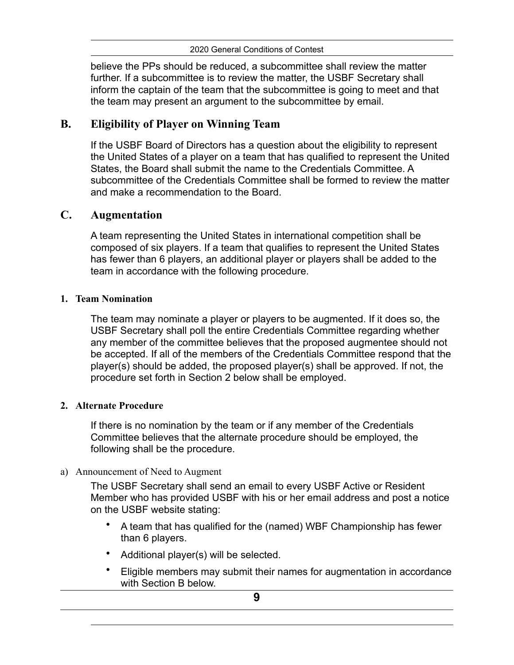believe the PPs should be reduced, a subcommittee shall review the matter further. If a subcommittee is to review the matter, the USBF Secretary shall inform the captain of the team that the subcommittee is going to meet and that the team may present an argument to the subcommittee by email.

## **B. Eligibility of Player on Winning Team**

<span id="page-11-0"></span>If the USBF Board of Directors has a question about the eligibility to represent the United States of a player on a team that has qualified to represent the United States, the Board shall submit the name to the Credentials Committee. A subcommittee of the Credentials Committee shall be formed to review the matter and make a recommendation to the Board.

## **C. Augmentation**

<span id="page-11-1"></span>A team representing the United States in international competition shall be composed of six players. If a team that qualifies to represent the United States has fewer than 6 players, an additional player or players shall be added to the team in accordance with the following procedure.

### **1. Team Nomination**

The team may nominate a player or players to be augmented. If it does so, the USBF Secretary shall poll the entire Credentials Committee regarding whether any member of the committee believes that the proposed augmentee should not be accepted. If all of the members of the Credentials Committee respond that the player(s) should be added, the proposed player(s) shall be approved. If not, the procedure set forth in Section 2 below shall be employed.

### **2. Alternate Procedure**

If there is no nomination by the team or if any member of the Credentials Committee believes that the alternate procedure should be employed, the following shall be the procedure.

### a) Announcement of Need to Augment

The USBF Secretary shall send an email to every USBF Active or Resident Member who has provided USBF with his or her email address and post a notice on the USBF website stating:

- A team that has qualified for the (named) WBF Championship has fewer than 6 players.
- Additional player(s) will be selected.
- Eligible members may submit their names for augmentation in accordance with Section B below.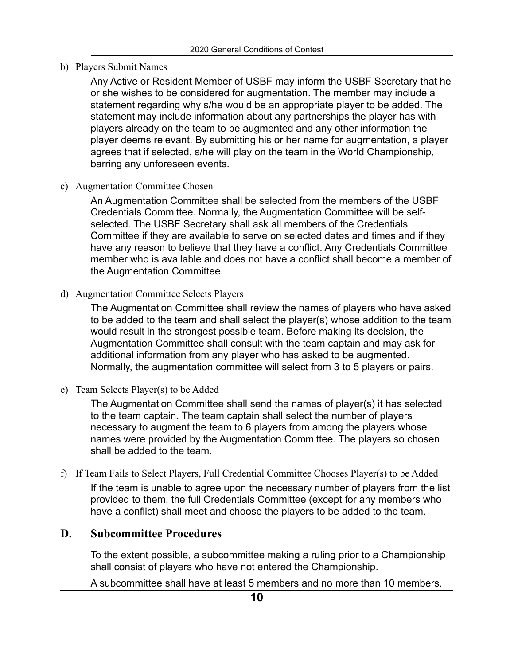b) Players Submit Names

Any Active or Resident Member of USBF may inform the USBF Secretary that he or she wishes to be considered for augmentation. The member may include a statement regarding why s/he would be an appropriate player to be added. The statement may include information about any partnerships the player has with players already on the team to be augmented and any other information the player deems relevant. By submitting his or her name for augmentation, a player agrees that if selected, s/he will play on the team in the World Championship, barring any unforeseen events.

c) Augmentation Committee Chosen

An Augmentation Committee shall be selected from the members of the USBF Credentials Committee. Normally, the Augmentation Committee will be selfselected. The USBF Secretary shall ask all members of the Credentials Committee if they are available to serve on selected dates and times and if they have any reason to believe that they have a conflict. Any Credentials Committee member who is available and does not have a conflict shall become a member of the Augmentation Committee.

d) Augmentation Committee Selects Players

The Augmentation Committee shall review the names of players who have asked to be added to the team and shall select the player(s) whose addition to the team would result in the strongest possible team. Before making its decision, the Augmentation Committee shall consult with the team captain and may ask for additional information from any player who has asked to be augmented. Normally, the augmentation committee will select from 3 to 5 players or pairs.

e) Team Selects Player(s) to be Added

The Augmentation Committee shall send the names of player(s) it has selected to the team captain. The team captain shall select the number of players necessary to augment the team to 6 players from among the players whose names were provided by the Augmentation Committee. The players so chosen shall be added to the team.

f) If Team Fails to Select Players, Full Credential Committee Chooses Player(s) to be Added If the team is unable to agree upon the necessary number of players from the list provided to them, the full Credentials Committee (except for any members who have a conflict) shall meet and choose the players to be added to the team.

### **D. Subcommittee Procedures**

<span id="page-12-0"></span>To the extent possible, a subcommittee making a ruling prior to a Championship shall consist of players who have not entered the Championship.

A subcommittee shall have at least 5 members and no more than 10 members.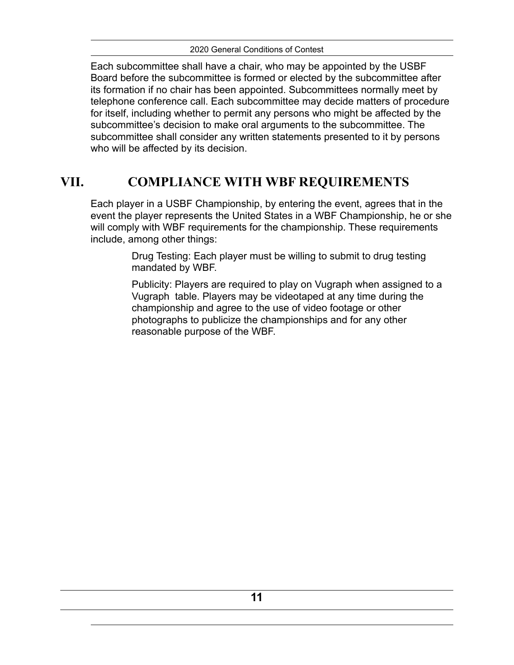Each subcommittee shall have a chair, who may be appointed by the USBF Board before the subcommittee is formed or elected by the subcommittee after its formation if no chair has been appointed. Subcommittees normally meet by telephone conference call. Each subcommittee may decide matters of procedure for itself, including whether to permit any persons who might be affected by the subcommittee's decision to make oral arguments to the subcommittee. The subcommittee shall consider any written statements presented to it by persons who will be affected by its decision.

## **VII. COMPLIANCE WITH WBF REQUIREMENTS**

<span id="page-13-0"></span>Each player in a USBF Championship, by entering the event, agrees that in the event the player represents the United States in a WBF Championship, he or she will comply with WBF requirements for the championship. These requirements include, among other things:

> Drug Testing: Each player must be willing to submit to drug testing mandated by WBF.

Publicity: Players are required to play on Vugraph when assigned to a Vugraph table. Players may be videotaped at any time during the championship and agree to the use of video footage or other photographs to publicize the championships and for any other reasonable purpose of the WBF.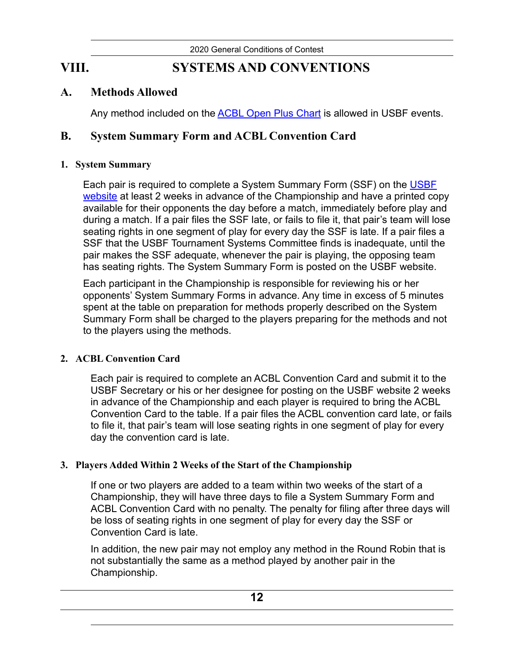# **VIII. SYSTEMS AND CONVENTIONS**

## **A. Methods Allowed**

<span id="page-14-2"></span><span id="page-14-1"></span><span id="page-14-0"></span>Any method included on the [ACBL Open Plus Chart](http://web2.acbl.org/documentLibrary/about/181AttachmentD.pdf) is allowed in USBF events.

## **B. System Summary Form and ACBL Convention Card**

### **1. System Summary**

Each pair is required to complete a System Summary Form (SSF) on the USBF [website](http://www.usbf.org/) at least 2 weeks in advance of the Championship and have a printed copy available for their opponents the day before a match, immediately before play and during a match. If a pair files the SSF late, or fails to file it, that pair's team will lose seating rights in one segment of play for every day the SSF is late. If a pair files a SSF that the USBF Tournament Systems Committee finds is inadequate, until the pair makes the SSF adequate, whenever the pair is playing, the opposing team has seating rights. The System Summary Form is posted on the USBF website.

Each participant in the Championship is responsible for reviewing his or her opponents' System Summary Forms in advance. Any time in excess of 5 minutes spent at the table on preparation for methods properly described on the System Summary Form shall be charged to the players preparing for the methods and not to the players using the methods.

## **2. ACBL Convention Card**

Each pair is required to complete an ACBL Convention Card and submit it to the USBF Secretary or his or her designee for posting on the USBF website 2 weeks in advance of the Championship and each player is required to bring the ACBL Convention Card to the table. If a pair files the ACBL convention card late, or fails to file it, that pair's team will lose seating rights in one segment of play for every day the convention card is late.

### **3. Players Added Within 2 Weeks of the Start of the Championship**

If one or two players are added to a team within two weeks of the start of a Championship, they will have three days to file a System Summary Form and ACBL Convention Card with no penalty. The penalty for filing after three days will be loss of seating rights in one segment of play for every day the SSF or Convention Card is late.

In addition, the new pair may not employ any method in the Round Robin that is not substantially the same as a method played by another pair in the Championship.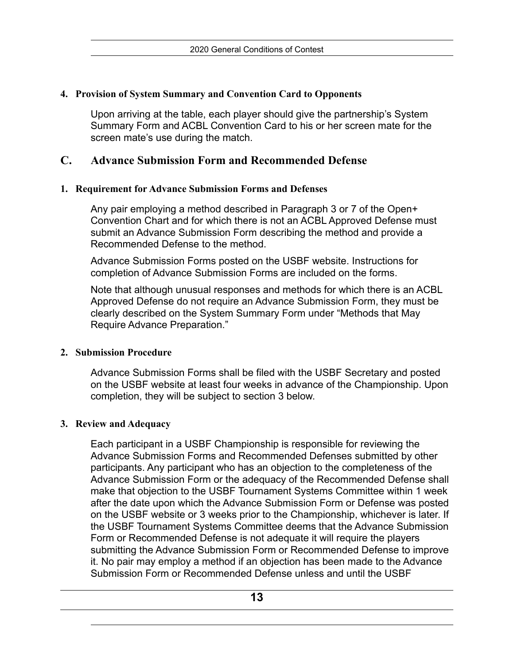#### **4. Provision of System Summary and Convention Card to Opponents**

Upon arriving at the table, each player should give the partnership's System Summary Form and ACBL Convention Card to his or her screen mate for the screen mate's use during the match.

## <span id="page-15-0"></span>**C. Advance Submission Form and Recommended Defense**

#### **1. Requirement for Advance Submission Forms and Defenses**

Any pair employing a method described in Paragraph 3 or 7 of the Open+ Convention Chart and for which there is not an ACBL Approved Defense must submit an Advance Submission Form describing the method and provide a Recommended Defense to the method.

Advance Submission Forms posted on the USBF website. Instructions for completion of Advance Submission Forms are included on the forms.

Note that although unusual responses and methods for which there is an ACBL Approved Defense do not require an Advance Submission Form, they must be clearly described on the System Summary Form under "Methods that May Require Advance Preparation."

#### **2. Submission Procedure**

Advance Submission Forms shall be filed with the USBF Secretary and posted on the USBF website at least four weeks in advance of the Championship. Upon completion, they will be subject to section 3 below.

#### **3. Review and Adequacy**

Each participant in a USBF Championship is responsible for reviewing the Advance Submission Forms and Recommended Defenses submitted by other participants. Any participant who has an objection to the completeness of the Advance Submission Form or the adequacy of the Recommended Defense shall make that objection to the USBF Tournament Systems Committee within 1 week after the date upon which the Advance Submission Form or Defense was posted on the USBF website or 3 weeks prior to the Championship, whichever is later. If the USBF Tournament Systems Committee deems that the Advance Submission Form or Recommended Defense is not adequate it will require the players submitting the Advance Submission Form or Recommended Defense to improve it. No pair may employ a method if an objection has been made to the Advance Submission Form or Recommended Defense unless and until the USBF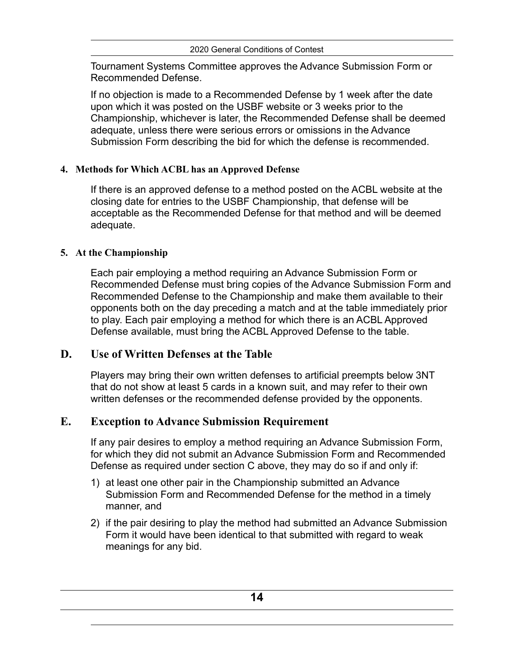Tournament Systems Committee approves the Advance Submission Form or Recommended Defense.

If no objection is made to a Recommended Defense by 1 week after the date upon which it was posted on the USBF website or 3 weeks prior to the Championship, whichever is later, the Recommended Defense shall be deemed adequate, unless there were serious errors or omissions in the Advance Submission Form describing the bid for which the defense is recommended.

## **4. Methods for Which ACBL has an Approved Defense**

If there is an approved defense to a method posted on the ACBL website at the closing date for entries to the USBF Championship, that defense will be acceptable as the Recommended Defense for that method and will be deemed adequate.

## **5. At the Championship**

Each pair employing a method requiring an Advance Submission Form or Recommended Defense must bring copies of the Advance Submission Form and Recommended Defense to the Championship and make them available to their opponents both on the day preceding a match and at the table immediately prior to play. Each pair employing a method for which there is an ACBL Approved Defense available, must bring the ACBL Approved Defense to the table.

## **D. Use of Written Defenses at the Table**

<span id="page-16-0"></span>Players may bring their own written defenses to artificial preempts below 3NT that do not show at least 5 cards in a known suit, and may refer to their own written defenses or the recommended defense provided by the opponents.

## **E. Exception to Advance Submission Requirement**

<span id="page-16-1"></span>If any pair desires to employ a method requiring an Advance Submission Form, for which they did not submit an Advance Submission Form and Recommended Defense as required under section C above, they may do so if and only if:

- 1) at least one other pair in the Championship submitted an Advance Submission Form and Recommended Defense for the method in a timely manner, and
- 2) if the pair desiring to play the method had submitted an Advance Submission Form it would have been identical to that submitted with regard to weak meanings for any bid.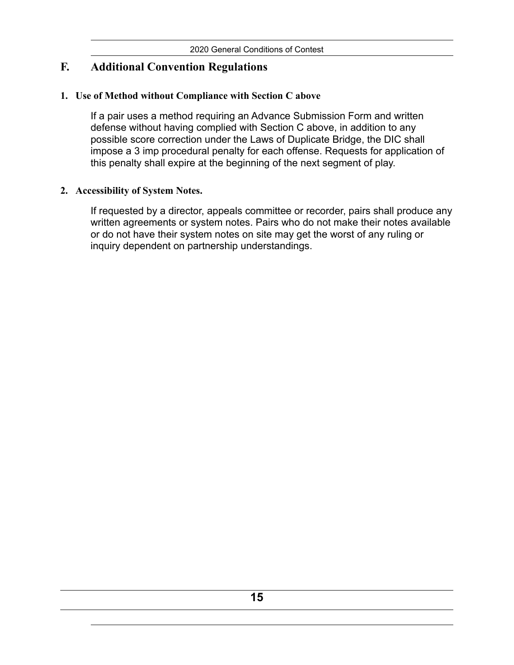## <span id="page-17-0"></span>**F. Additional Convention Regulations**

#### **1. Use of Method without Compliance with Section C above**

If a pair uses a method requiring an Advance Submission Form and written defense without having complied with Section C above, in addition to any possible score correction under the Laws of Duplicate Bridge, the DIC shall impose a 3 imp procedural penalty for each offense. Requests for application of this penalty shall expire at the beginning of the next segment of play.

#### **2. Accessibility of System Notes.**

If requested by a director, appeals committee or recorder, pairs shall produce any written agreements or system notes. Pairs who do not make their notes available or do not have their system notes on site may get the worst of any ruling or inquiry dependent on partnership understandings.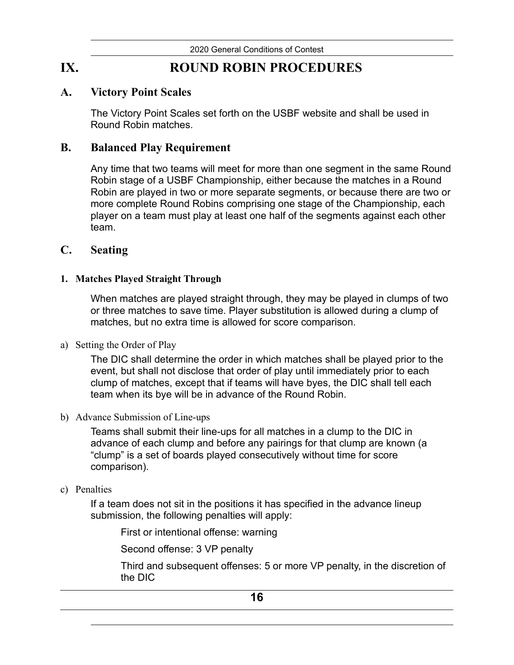# **IX. ROUND ROBIN PROCEDURES**

### **A. Victory Point Scales**

<span id="page-18-1"></span><span id="page-18-0"></span>The Victory Point Scales set forth on the USBF website and shall be used in Round Robin matches.

## **B. Balanced Play Requirement**

<span id="page-18-2"></span>Any time that two teams will meet for more than one segment in the same Round Robin stage of a USBF Championship, either because the matches in a Round Robin are played in two or more separate segments, or because there are two or more complete Round Robins comprising one stage of the Championship, each player on a team must play at least one half of the segments against each other team.

### <span id="page-18-3"></span>**C. Seating**

#### **1. Matches Played Straight Through**

When matches are played straight through, they may be played in clumps of two or three matches to save time. Player substitution is allowed during a clump of matches, but no extra time is allowed for score comparison.

a) Setting the Order of Play

The DIC shall determine the order in which matches shall be played prior to the event, but shall not disclose that order of play until immediately prior to each clump of matches, except that if teams will have byes, the DIC shall tell each team when its bye will be in advance of the Round Robin.

b) Advance Submission of Line-ups

Teams shall submit their line-ups for all matches in a clump to the DIC in advance of each clump and before any pairings for that clump are known (a "clump" is a set of boards played consecutively without time for score comparison).

#### c) Penalties

If a team does not sit in the positions it has specified in the advance lineup submission, the following penalties will apply:

First or intentional offense: warning

Second offense: 3 VP penalty

Third and subsequent offenses: 5 or more VP penalty, in the discretion of the DIC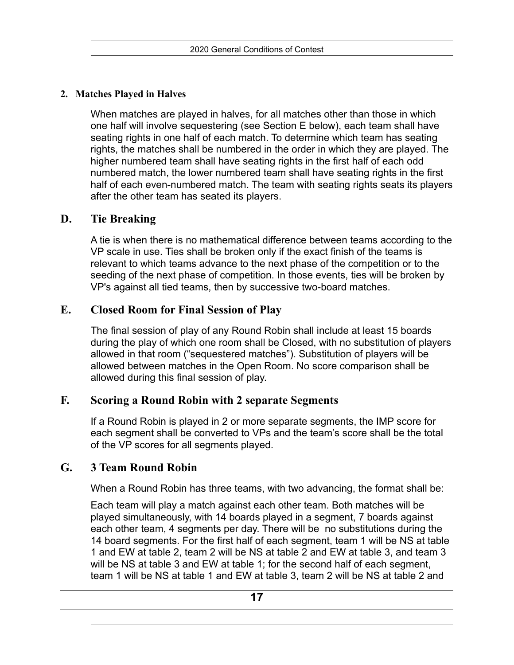## **2. Matches Played in Halves**

When matches are played in halves, for all matches other than those in which one half will involve sequestering (see Section E below), each team shall have seating rights in one half of each match. To determine which team has seating rights, the matches shall be numbered in the order in which they are played. The higher numbered team shall have seating rights in the first half of each odd numbered match, the lower numbered team shall have seating rights in the first half of each even-numbered match. The team with seating rights seats its players after the other team has seated its players.

## **D. Tie Breaking**

<span id="page-19-0"></span>A tie is when there is no mathematical difference between teams according to the VP scale in use. Ties shall be broken only if the exact finish of the teams is relevant to which teams advance to the next phase of the competition or to the seeding of the next phase of competition. In those events, ties will be broken by VP's against all tied teams, then by successive two-board matches.

## **E. Closed Room for Final Session of Play**

<span id="page-19-1"></span>The final session of play of any Round Robin shall include at least 15 boards during the play of which one room shall be Closed, with no substitution of players allowed in that room ("sequestered matches"). Substitution of players will be allowed between matches in the Open Room. No score comparison shall be allowed during this final session of play.

## **F. Scoring a Round Robin with 2 separate Segments**

<span id="page-19-2"></span>If a Round Robin is played in 2 or more separate segments, the IMP score for each segment shall be converted to VPs and the team's score shall be the total of the VP scores for all segments played.

## **G. 3 Team Round Robin**

<span id="page-19-3"></span>When a Round Robin has three teams, with two advancing, the format shall be:

Each team will play a match against each other team. Both matches will be played simultaneously, with 14 boards played in a segment, 7 boards against each other team, 4 segments per day. There will be no substitutions during the 14 board segments. For the first half of each segment, team 1 will be NS at table 1 and EW at table 2, team 2 will be NS at table 2 and EW at table 3, and team 3 will be NS at table 3 and EW at table 1; for the second half of each segment, team 1 will be NS at table 1 and EW at table 3, team 2 will be NS at table 2 and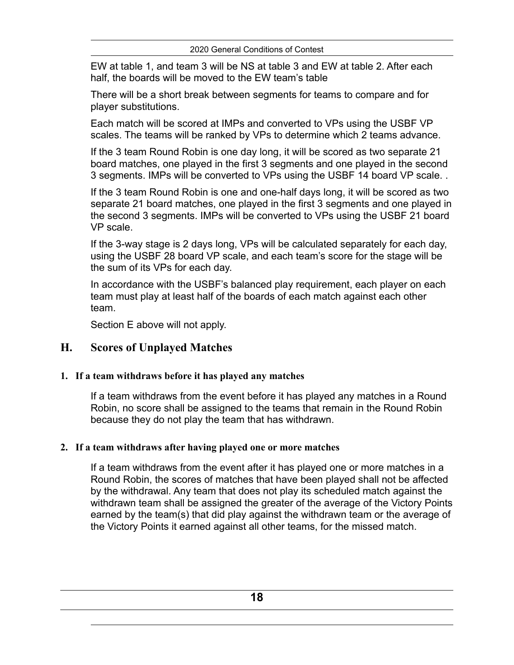EW at table 1, and team 3 will be NS at table 3 and EW at table 2. After each half, the boards will be moved to the EW team's table

There will be a short break between segments for teams to compare and for player substitutions.

Each match will be scored at IMPs and converted to VPs using the USBF VP scales. The teams will be ranked by VPs to determine which 2 teams advance.

If the 3 team Round Robin is one day long, it will be scored as two separate 21 board matches, one played in the first 3 segments and one played in the second 3 segments. IMPs will be converted to VPs using the USBF 14 board VP scale. .

If the 3 team Round Robin is one and one-half days long, it will be scored as two separate 21 board matches, one played in the first 3 segments and one played in the second 3 segments. IMPs will be converted to VPs using the USBF 21 board VP scale.

If the 3-way stage is 2 days long, VPs will be calculated separately for each day, using the USBF 28 board VP scale, and each team's score for the stage will be the sum of its VPs for each day.

In accordance with the USBF's balanced play requirement, each player on each team must play at least half of the boards of each match against each other team.

<span id="page-20-0"></span>Section E above will not apply.

## **H. Scores of Unplayed Matches**

### **1. If a team withdraws before it has played any matches**

If a team withdraws from the event before it has played any matches in a Round Robin, no score shall be assigned to the teams that remain in the Round Robin because they do not play the team that has withdrawn.

### **2. If a team withdraws after having played one or more matches**

If a team withdraws from the event after it has played one or more matches in a Round Robin, the scores of matches that have been played shall not be affected by the withdrawal. Any team that does not play its scheduled match against the withdrawn team shall be assigned the greater of the average of the Victory Points earned by the team(s) that did play against the withdrawn team or the average of the Victory Points it earned against all other teams, for the missed match.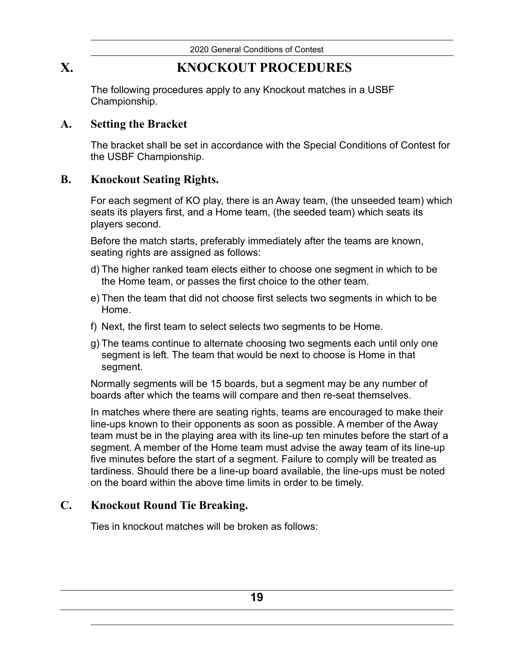# **X. KNOCKOUT PROCEDURES**

<span id="page-21-0"></span>The following procedures apply to any Knockout matches in a USBF Championship.

## **A. Setting the Bracket**

<span id="page-21-1"></span>The bracket shall be set in accordance with the Special Conditions of Contest for the USBF Championship.

## **B. Knockout Seating Rights.**

<span id="page-21-2"></span>For each segment of KO play, there is an Away team, (the unseeded team) which seats its players first, and a Home team, (the seeded team) which seats its players second.

Before the match starts, preferably immediately after the teams are known, seating rights are assigned as follows:

- d) The higher ranked team elects either to choose one segment in which to be the Home team, or passes the first choice to the other team.
- e) Then the team that did not choose first selects two segments in which to be Home.
- f) Next, the first team to select selects two segments to be Home.
- g) The teams continue to alternate choosing two segments each until only one segment is left. The team that would be next to choose is Home in that segment.

Normally segments will be 15 boards, but a segment may be any number of boards after which the teams will compare and then re-seat themselves.

In matches where there are seating rights, teams are encouraged to make their line-ups known to their opponents as soon as possible. A member of the Away team must be in the playing area with its line-up ten minutes before the start of a segment. A member of the Home team must advise the away team of its line-up five minutes before the start of a segment. Failure to comply will be treated as tardiness. Should there be a line-up board available, the line-ups must be noted on the board within the above time limits in order to be timely.

## **C. Knockout Round Tie Breaking.**

<span id="page-21-3"></span>Ties in knockout matches will be broken as follows: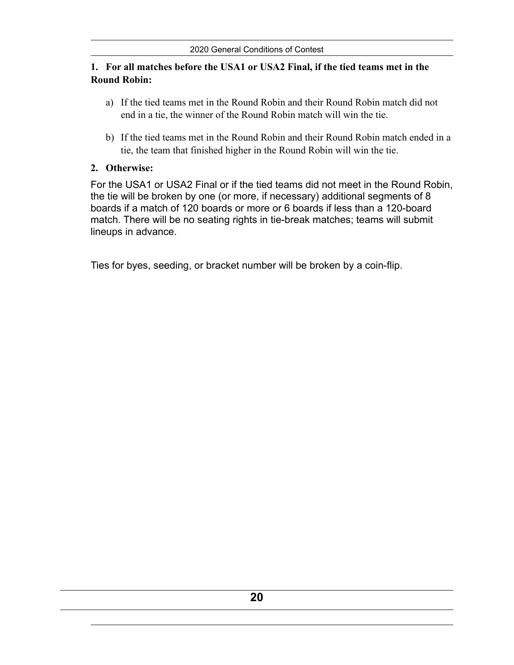#### **1. For all matches before the USA1 or USA2 Final, if the tied teams met in the Round Robin:**

- a) If the tied teams met in the Round Robin and their Round Robin match did not end in a tie, the winner of the Round Robin match will win the tie.
- b) If the tied teams met in the Round Robin and their Round Robin match ended in a tie, the team that finished higher in the Round Robin will win the tie.

#### **2. Otherwise:**

For the USA1 or USA2 Final or if the tied teams did not meet in the Round Robin, the tie will be broken by one (or more, if necessary) additional segments of 8 boards if a match of 120 boards or more or 6 boards if less than a 120-board match. There will be no seating rights in tie-break matches; teams will submit lineups in advance.

Ties for byes, seeding, or bracket number will be broken by a coin-flip.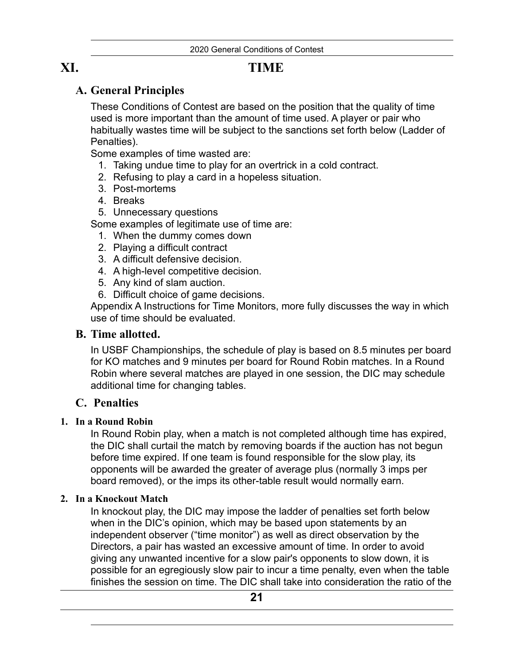# **XI. TIME**

## <span id="page-23-1"></span>**A. General Principles**

<span id="page-23-0"></span>These Conditions of Contest are based on the position that the quality of time used is more important than the amount of time used. A player or pair who habitually wastes time will be subject to the sanctions set forth below (Ladder of Penalties).

Some examples of time wasted are:

- 1. Taking undue time to play for an overtrick in a cold contract.
- 2. Refusing to play a card in a hopeless situation.
- 3. Post-mortems
- 4. Breaks
- 5. Unnecessary questions

Some examples of legitimate use of time are:

- 1. When the dummy comes down
- 2. Playing a difficult contract
- 3. A difficult defensive decision.
- 4. A high-level competitive decision.
- 5. Any kind of slam auction.
- 6. Difficult choice of game decisions.

Appendix A Instructions for Time Monitors, more fully discusses the way in which use of time should be evaluated.

## <span id="page-23-2"></span>**B. Time allotted.**

In USBF Championships, the schedule of play is based on 8.5 minutes per board for KO matches and 9 minutes per board for Round Robin matches. In a Round Robin where several matches are played in one session, the DIC may schedule additional time for changing tables.

## <span id="page-23-3"></span>**C. Penalties**

### **1. In a Round Robin**

In Round Robin play, when a match is not completed although time has expired, the DIC shall curtail the match by removing boards if the auction has not begun before time expired. If one team is found responsible for the slow play, its opponents will be awarded the greater of average plus (normally 3 imps per board removed), or the imps its other-table result would normally earn.

### **2. In a Knockout Match**

In knockout play, the DIC may impose the ladder of penalties set forth below when in the DIC's opinion, which may be based upon statements by an independent observer ("time monitor") as well as direct observation by the Directors, a pair has wasted an excessive amount of time. In order to avoid giving any unwanted incentive for a slow pair's opponents to slow down, it is possible for an egregiously slow pair to incur a time penalty, even when the table finishes the session on time. The DIC shall take into consideration the ratio of the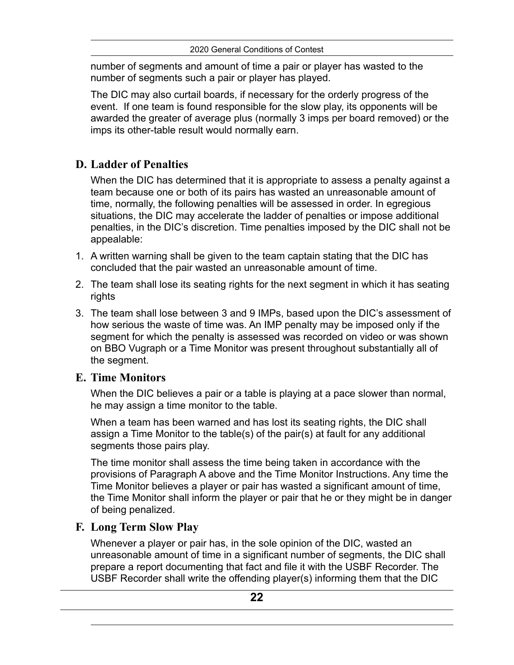number of segments and amount of time a pair or player has wasted to the number of segments such a pair or player has played.

The DIC may also curtail boards, if necessary for the orderly progress of the event. If one team is found responsible for the slow play, its opponents will be awarded the greater of average plus (normally 3 imps per board removed) or the imps its other-table result would normally earn.

## <span id="page-24-0"></span>**D. Ladder of Penalties**

When the DIC has determined that it is appropriate to assess a penalty against a team because one or both of its pairs has wasted an unreasonable amount of time, normally, the following penalties will be assessed in order. In egregious situations, the DIC may accelerate the ladder of penalties or impose additional penalties, in the DIC's discretion. Time penalties imposed by the DIC shall not be appealable:

- 1. A written warning shall be given to the team captain stating that the DIC has concluded that the pair wasted an unreasonable amount of time.
- 2. The team shall lose its seating rights for the next segment in which it has seating rights
- 3. The team shall lose between 3 and 9 IMPs, based upon the DIC's assessment of how serious the waste of time was. An IMP penalty may be imposed only if the segment for which the penalty is assessed was recorded on video or was shown on BBO Vugraph or a Time Monitor was present throughout substantially all of the segment.

## <span id="page-24-1"></span>**E. Time Monitors**

When the DIC believes a pair or a table is playing at a pace slower than normal, he may assign a time monitor to the table.

When a team has been warned and has lost its seating rights, the DIC shall assign a Time Monitor to the table(s) of the pair(s) at fault for any additional segments those pairs play.

The time monitor shall assess the time being taken in accordance with the provisions of Paragraph A above and the Time Monitor Instructions. Any time the Time Monitor believes a player or pair has wasted a significant amount of time, the Time Monitor shall inform the player or pair that he or they might be in danger of being penalized.

## <span id="page-24-2"></span>**F. Long Term Slow Play**

Whenever a player or pair has, in the sole opinion of the DIC, wasted an unreasonable amount of time in a significant number of segments, the DIC shall prepare a report documenting that fact and file it with the USBF Recorder. The USBF Recorder shall write the offending player(s) informing them that the DIC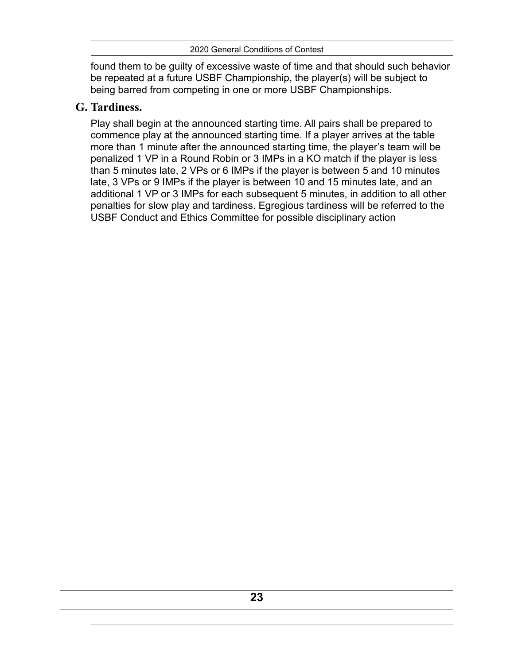found them to be guilty of excessive waste of time and that should such behavior be repeated at a future USBF Championship, the player(s) will be subject to being barred from competing in one or more USBF Championships.

## <span id="page-25-0"></span>**G. Tardiness.**

Play shall begin at the announced starting time. All pairs shall be prepared to commence play at the announced starting time. If a player arrives at the table more than 1 minute after the announced starting time, the player's team will be penalized 1 VP in a Round Robin or 3 IMPs in a KO match if the player is less than 5 minutes late, 2 VPs or 6 IMPs if the player is between 5 and 10 minutes late, 3 VPs or 9 IMPs if the player is between 10 and 15 minutes late, and an additional 1 VP or 3 IMPs for each subsequent 5 minutes, in addition to all other penalties for slow play and tardiness. Egregious tardiness will be referred to the USBF Conduct and Ethics Committee for possible disciplinary action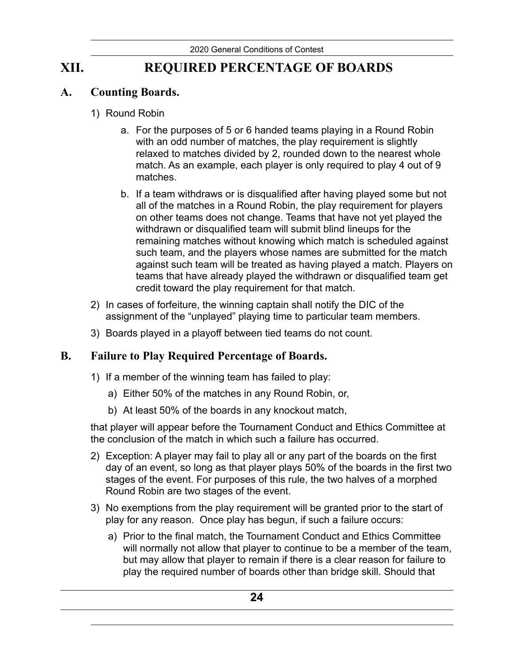# **XII. REQUIRED PERCENTAGE OF BOARDS**

## **A. Counting Boards.**

- <span id="page-26-1"></span><span id="page-26-0"></span>1) Round Robin
	- a. For the purposes of 5 or 6 handed teams playing in a Round Robin with an odd number of matches, the play requirement is slightly relaxed to matches divided by 2, rounded down to the nearest whole match. As an example, each player is only required to play 4 out of 9 matches.
	- b. If a team withdraws or is disqualified after having played some but not all of the matches in a Round Robin, the play requirement for players on other teams does not change. Teams that have not yet played the withdrawn or disqualified team will submit blind lineups for the remaining matches without knowing which match is scheduled against such team, and the players whose names are submitted for the match against such team will be treated as having played a match. Players on teams that have already played the withdrawn or disqualified team get credit toward the play requirement for that match.
- 2) In cases of forfeiture, the winning captain shall notify the DIC of the assignment of the "unplayed" playing time to particular team members.
- <span id="page-26-2"></span>3) Boards played in a playoff between tied teams do not count.

## **B. Failure to Play Required Percentage of Boards.**

- 1) If a member of the winning team has failed to play:
	- a) Either 50% of the matches in any Round Robin, or,
	- b) At least 50% of the boards in any knockout match,

that player will appear before the Tournament Conduct and Ethics Committee at the conclusion of the match in which such a failure has occurred.

- 2) Exception: A player may fail to play all or any part of the boards on the first day of an event, so long as that player plays 50% of the boards in the first two stages of the event. For purposes of this rule, the two halves of a morphed Round Robin are two stages of the event.
- 3) No exemptions from the play requirement will be granted prior to the start of play for any reason. Once play has begun, if such a failure occurs:
	- a) Prior to the final match, the Tournament Conduct and Ethics Committee will normally not allow that player to continue to be a member of the team, but may allow that player to remain if there is a clear reason for failure to play the required number of boards other than bridge skill. Should that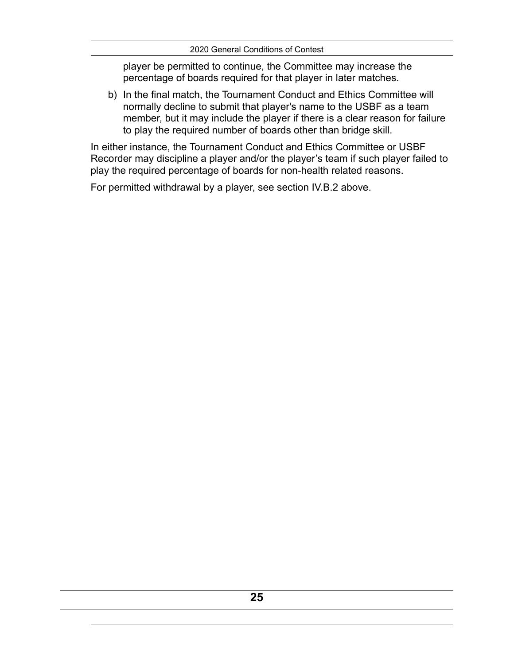player be permitted to continue, the Committee may increase the percentage of boards required for that player in later matches.

b) In the final match, the Tournament Conduct and Ethics Committee will normally decline to submit that player's name to the USBF as a team member, but it may include the player if there is a clear reason for failure to play the required number of boards other than bridge skill.

In either instance, the Tournament Conduct and Ethics Committee or USBF Recorder may discipline a player and/or the player's team if such player failed to play the required percentage of boards for non-health related reasons.

For permitted withdrawal by a player, see section IV.B.2 above.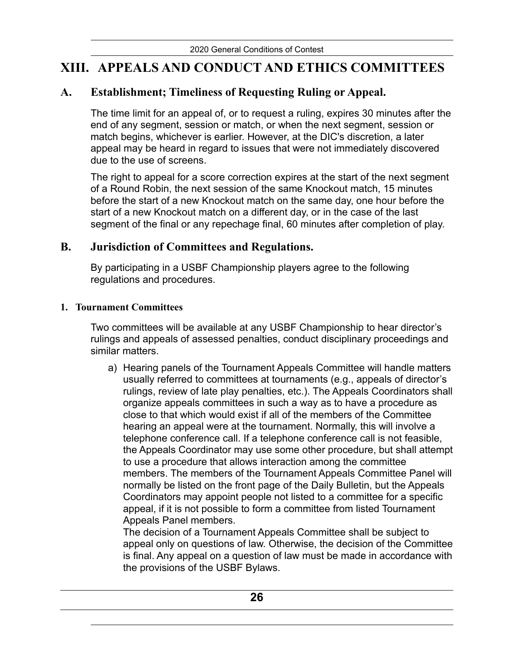# <span id="page-28-0"></span>**XIII. APPEALS AND CONDUCT AND ETHICS COMMITTEES**

## **A. Establishment; Timeliness of Requesting Ruling or Appeal.**

<span id="page-28-1"></span>The time limit for an appeal of, or to request a ruling, expires 30 minutes after the end of any segment, session or match, or when the next segment, session or match begins, whichever is earlier. However, at the DIC's discretion, a later appeal may be heard in regard to issues that were not immediately discovered due to the use of screens.

The right to appeal for a score correction expires at the start of the next segment of a Round Robin, the next session of the same Knockout match, 15 minutes before the start of a new Knockout match on the same day, one hour before the start of a new Knockout match on a different day, or in the case of the last segment of the final or any repechage final, 60 minutes after completion of play.

### **B. Jurisdiction of Committees and Regulations.**

<span id="page-28-2"></span>By participating in a USBF Championship players agree to the following regulations and procedures.

#### **1. Tournament Committees**

Two committees will be available at any USBF Championship to hear director's rulings and appeals of assessed penalties, conduct disciplinary proceedings and similar matters.

a) Hearing panels of the Tournament Appeals Committee will handle matters usually referred to committees at tournaments (e.g., appeals of director's rulings, review of late play penalties, etc.). The Appeals Coordinators shall organize appeals committees in such a way as to have a procedure as close to that which would exist if all of the members of the Committee hearing an appeal were at the tournament. Normally, this will involve a telephone conference call. If a telephone conference call is not feasible, the Appeals Coordinator may use some other procedure, but shall attempt to use a procedure that allows interaction among the committee members. The members of the Tournament Appeals Committee Panel will normally be listed on the front page of the Daily Bulletin, but the Appeals Coordinators may appoint people not listed to a committee for a specific appeal, if it is not possible to form a committee from listed Tournament Appeals Panel members.

The decision of a Tournament Appeals Committee shall be subject to appeal only on questions of law. Otherwise, the decision of the Committee is final. Any appeal on a question of law must be made in accordance with the provisions of the USBF Bylaws.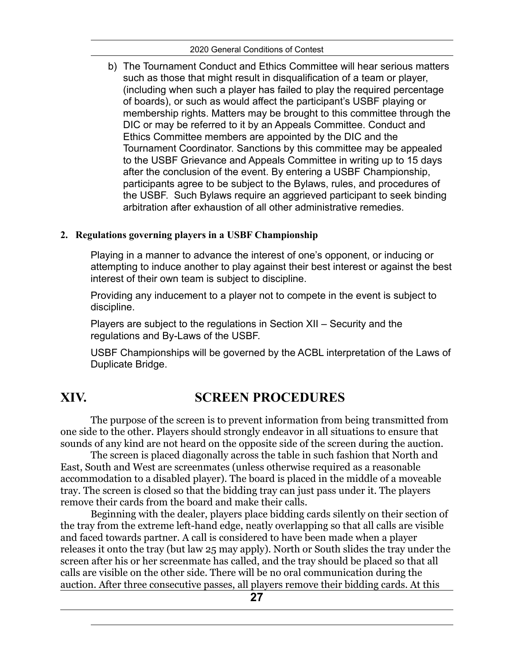b) The Tournament Conduct and Ethics Committee will hear serious matters such as those that might result in disqualification of a team or player, (including when such a player has failed to play the required percentage of boards), or such as would affect the participant's USBF playing or membership rights. Matters may be brought to this committee through the DIC or may be referred to it by an Appeals Committee. Conduct and Ethics Committee members are appointed by the DIC and the Tournament Coordinator. Sanctions by this committee may be appealed to the USBF Grievance and Appeals Committee in writing up to 15 days after the conclusion of the event. By entering a USBF Championship, participants agree to be subject to the Bylaws, rules, and procedures of the USBF. Such Bylaws require an aggrieved participant to seek binding arbitration after exhaustion of all other administrative remedies.

### **2. Regulations governing players in a USBF Championship**

Playing in a manner to advance the interest of one's opponent, or inducing or attempting to induce another to play against their best interest or against the best interest of their own team is subject to discipline.

Providing any inducement to a player not to compete in the event is subject to discipline.

Players are subject to the regulations in Section XII – Security and the regulations and By-Laws of the USBF.

<span id="page-29-0"></span>USBF Championships will be governed by the ACBL interpretation of the Laws of Duplicate Bridge.

# **XIV. SCREEN PROCEDURES**

The purpose of the screen is to prevent information from being transmitted from one side to the other. Players should strongly endeavor in all situations to ensure that sounds of any kind are not heard on the opposite side of the screen during the auction.

The screen is placed diagonally across the table in such fashion that North and East, South and West are screenmates (unless otherwise required as a reasonable accommodation to a disabled player). The board is placed in the middle of a moveable tray. The screen is closed so that the bidding tray can just pass under it. The players remove their cards from the board and make their calls.

Beginning with the dealer, players place bidding cards silently on their section of the tray from the extreme left-hand edge, neatly overlapping so that all calls are visible and faced towards partner. A call is considered to have been made when a player releases it onto the tray (but law 25 may apply). North or South slides the tray under the screen after his or her screenmate has called, and the tray should be placed so that all calls are visible on the other side. There will be no oral communication during the auction. After three consecutive passes, all players remove their bidding cards. At this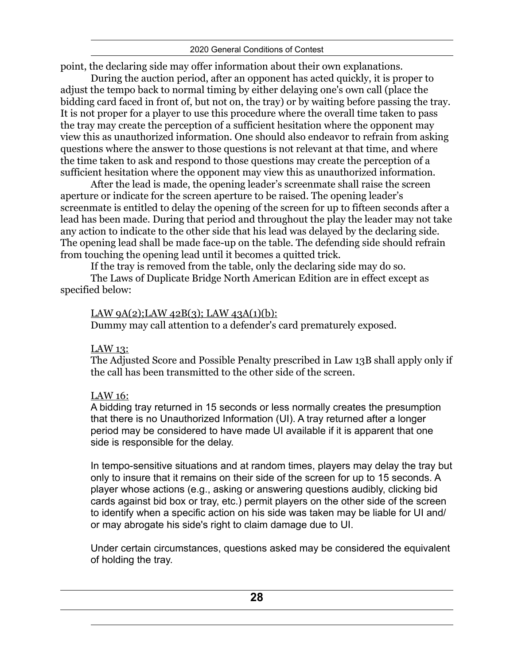#### 2020 General Conditions of Contest

point, the declaring side may offer information about their own explanations.

During the auction period, after an opponent has acted quickly, it is proper to adjust the tempo back to normal timing by either delaying one's own call (place the bidding card faced in front of, but not on, the tray) or by waiting before passing the tray. It is not proper for a player to use this procedure where the overall time taken to pass the tray may create the perception of a sufficient hesitation where the opponent may view this as unauthorized information. One should also endeavor to refrain from asking questions where the answer to those questions is not relevant at that time, and where the time taken to ask and respond to those questions may create the perception of a sufficient hesitation where the opponent may view this as unauthorized information.

After the lead is made, the opening leader's screenmate shall raise the screen aperture or indicate for the screen aperture to be raised. The opening leader's screenmate is entitled to delay the opening of the screen for up to fifteen seconds after a lead has been made. During that period and throughout the play the leader may not take any action to indicate to the other side that his lead was delayed by the declaring side. The opening lead shall be made face-up on the table. The defending side should refrain from touching the opening lead until it becomes a quitted trick.

If the tray is removed from the table, only the declaring side may do so.

The Laws of Duplicate Bridge North American Edition are in effect except as specified below:

#### LAW  $9A(2)$ ;LAW  $42B(3)$ ; LAW  $43A(1)(b)$ :

Dummy may call attention to a defender's card prematurely exposed.

### LAW 13:

The Adjusted Score and Possible Penalty prescribed in Law 13B shall apply only if the call has been transmitted to the other side of the screen.

### LAW 16:

A bidding tray returned in 15 seconds or less normally creates the presumption that there is no Unauthorized Information (UI). A tray returned after a longer period may be considered to have made UI available if it is apparent that one side is responsible for the delay.

In tempo-sensitive situations and at random times, players may delay the tray but only to insure that it remains on their side of the screen for up to 15 seconds. A player whose actions (e.g., asking or answering questions audibly, clicking bid cards against bid box or tray, etc.) permit players on the other side of the screen to identify when a specific action on his side was taken may be liable for UI and/ or may abrogate his side's right to claim damage due to UI.

Under certain circumstances, questions asked may be considered the equivalent of holding the tray.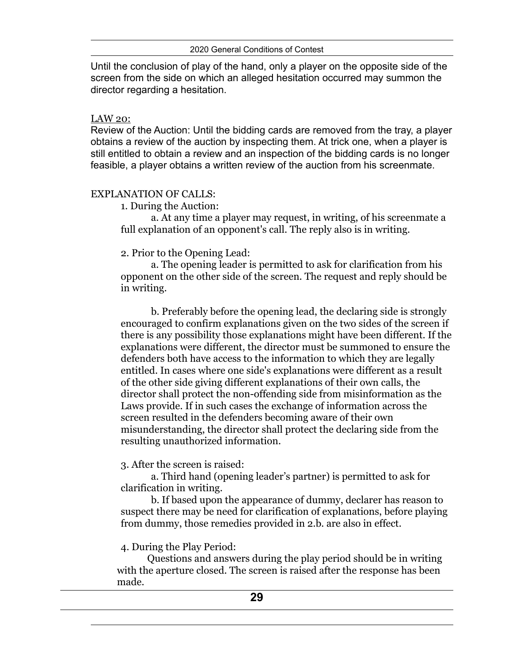2020 General Conditions of Contest

Until the conclusion of play of the hand, only a player on the opposite side of the screen from the side on which an alleged hesitation occurred may summon the director regarding a hesitation.

#### LAW 20:

Review of the Auction: Until the bidding cards are removed from the tray, a player obtains a review of the auction by inspecting them. At trick one, when a player is still entitled to obtain a review and an inspection of the bidding cards is no longer feasible, a player obtains a written review of the auction from his screenmate.

#### EXPLANATION OF CALLS:

1. During the Auction:

a. At any time a player may request, in writing, of his screenmate a full explanation of an opponent's call. The reply also is in writing.

## 2. Prior to the Opening Lead:

a. The opening leader is permitted to ask for clarification from his opponent on the other side of the screen. The request and reply should be in writing.

b. Preferably before the opening lead, the declaring side is strongly encouraged to confirm explanations given on the two sides of the screen if there is any possibility those explanations might have been different. If the explanations were different, the director must be summoned to ensure the defenders both have access to the information to which they are legally entitled. In cases where one side's explanations were different as a result of the other side giving different explanations of their own calls, the director shall protect the non-offending side from misinformation as the Laws provide. If in such cases the exchange of information across the screen resulted in the defenders becoming aware of their own misunderstanding, the director shall protect the declaring side from the resulting unauthorized information.

3. After the screen is raised:

a. Third hand (opening leader's partner) is permitted to ask for clarification in writing.

b. If based upon the appearance of dummy, declarer has reason to suspect there may be need for clarification of explanations, before playing from dummy, those remedies provided in 2.b. are also in effect.

### 4. During the Play Period:

Questions and answers during the play period should be in writing with the aperture closed. The screen is raised after the response has been made.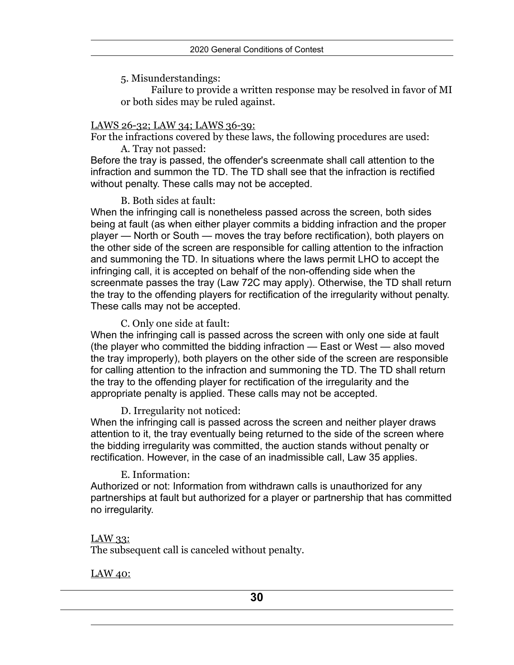5. Misunderstandings:

Failure to provide a written response may be resolved in favor of MI or both sides may be ruled against.

#### LAWS 26-32; LAW 34; LAWS 36-39:

For the infractions covered by these laws, the following procedures are used: A. Tray not passed:

Before the tray is passed, the offender's screenmate shall call attention to the infraction and summon the TD. The TD shall see that the infraction is rectified without penalty. These calls may not be accepted.

#### B. Both sides at fault:

When the infringing call is nonetheless passed across the screen, both sides being at fault (as when either player commits a bidding infraction and the proper player — North or South — moves the tray before rectification), both players on the other side of the screen are responsible for calling attention to the infraction and summoning the TD. In situations where the laws permit LHO to accept the infringing call, it is accepted on behalf of the non-offending side when the screenmate passes the tray (Law 72C may apply). Otherwise, the TD shall return the tray to the offending players for rectification of the irregularity without penalty. These calls may not be accepted.

#### C. Only one side at fault:

When the infringing call is passed across the screen with only one side at fault (the player who committed the bidding infraction — East or West — also moved the tray improperly), both players on the other side of the screen are responsible for calling attention to the infraction and summoning the TD. The TD shall return the tray to the offending player for rectification of the irregularity and the appropriate penalty is applied. These calls may not be accepted.

### D. Irregularity not noticed:

When the infringing call is passed across the screen and neither player draws attention to it, the tray eventually being returned to the side of the screen where the bidding irregularity was committed, the auction stands without penalty or rectification. However, in the case of an inadmissible call, Law 35 applies.

### E. Information:

Authorized or not: Information from withdrawn calls is unauthorized for any partnerships at fault but authorized for a player or partnership that has committed no irregularity.

### LAW 33:

The subsequent call is canceled without penalty.

### LAW 40: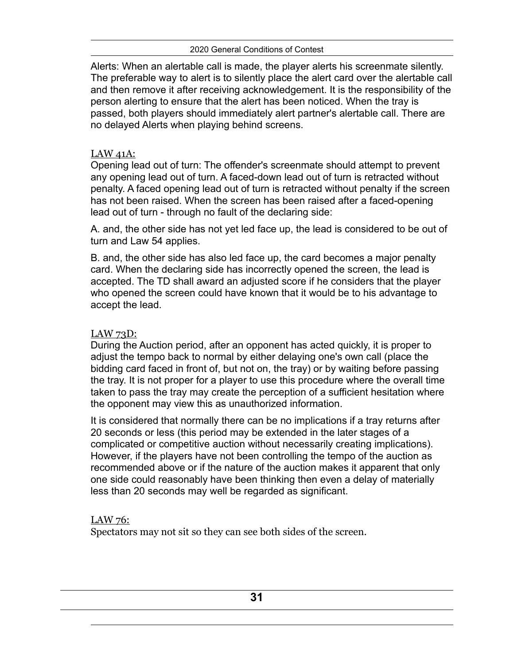Alerts: When an alertable call is made, the player alerts his screenmate silently. The preferable way to alert is to silently place the alert card over the alertable call and then remove it after receiving acknowledgement. It is the responsibility of the person alerting to ensure that the alert has been noticed. When the tray is passed, both players should immediately alert partner's alertable call. There are no delayed Alerts when playing behind screens.

#### LAW 41A:

Opening lead out of turn: The offender's screenmate should attempt to prevent any opening lead out of turn. A faced-down lead out of turn is retracted without penalty. A faced opening lead out of turn is retracted without penalty if the screen has not been raised. When the screen has been raised after a faced-opening lead out of turn - through no fault of the declaring side:

A. and, the other side has not yet led face up, the lead is considered to be out of turn and Law 54 applies.

B. and, the other side has also led face up, the card becomes a major penalty card. When the declaring side has incorrectly opened the screen, the lead is accepted. The TD shall award an adjusted score if he considers that the player who opened the screen could have known that it would be to his advantage to accept the lead.

### LAW 73D:

During the Auction period, after an opponent has acted quickly, it is proper to adjust the tempo back to normal by either delaying one's own call (place the bidding card faced in front of, but not on, the tray) or by waiting before passing the tray. It is not proper for a player to use this procedure where the overall time taken to pass the tray may create the perception of a sufficient hesitation where the opponent may view this as unauthorized information.

It is considered that normally there can be no implications if a tray returns after 20 seconds or less (this period may be extended in the later stages of a complicated or competitive auction without necessarily creating implications). However, if the players have not been controlling the tempo of the auction as recommended above or if the nature of the auction makes it apparent that only one side could reasonably have been thinking then even a delay of materially less than 20 seconds may well be regarded as significant.

### LAW 76:

Spectators may not sit so they can see both sides of the screen.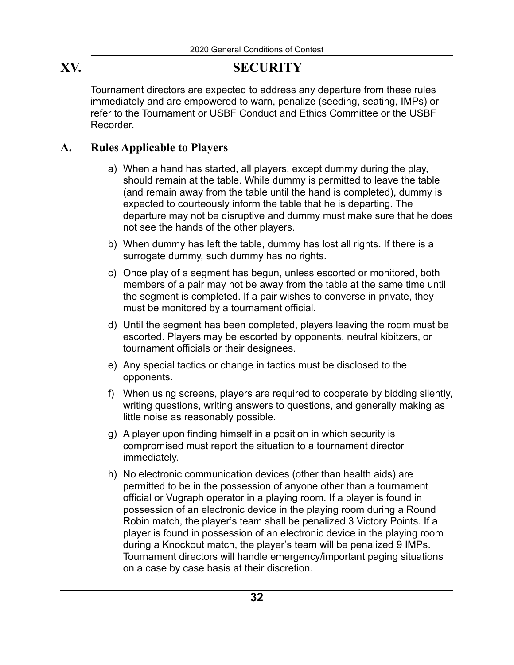## **XV. SECURITY**

<span id="page-34-0"></span>Tournament directors are expected to address any departure from these rules immediately and are empowered to warn, penalize (seeding, seating, IMPs) or refer to the Tournament or USBF Conduct and Ethics Committee or the USBF Recorder.

## **A. Rules Applicable to Players**

- <span id="page-34-1"></span>a) When a hand has started, all players, except dummy during the play, should remain at the table. While dummy is permitted to leave the table (and remain away from the table until the hand is completed), dummy is expected to courteously inform the table that he is departing. The departure may not be disruptive and dummy must make sure that he does not see the hands of the other players.
- b) When dummy has left the table, dummy has lost all rights. If there is a surrogate dummy, such dummy has no rights.
- c) Once play of a segment has begun, unless escorted or monitored, both members of a pair may not be away from the table at the same time until the segment is completed. If a pair wishes to converse in private, they must be monitored by a tournament official.
- d) Until the segment has been completed, players leaving the room must be escorted. Players may be escorted by opponents, neutral kibitzers, or tournament officials or their designees.
- e) Any special tactics or change in tactics must be disclosed to the opponents.
- f) When using screens, players are required to cooperate by bidding silently, writing questions, writing answers to questions, and generally making as little noise as reasonably possible.
- g) A player upon finding himself in a position in which security is compromised must report the situation to a tournament director immediately.
- h) No electronic communication devices (other than health aids) are permitted to be in the possession of anyone other than a tournament official or Vugraph operator in a playing room. If a player is found in possession of an electronic device in the playing room during a Round Robin match, the player's team shall be penalized 3 Victory Points. If a player is found in possession of an electronic device in the playing room during a Knockout match, the player's team will be penalized 9 IMPs. Tournament directors will handle emergency/important paging situations on a case by case basis at their discretion.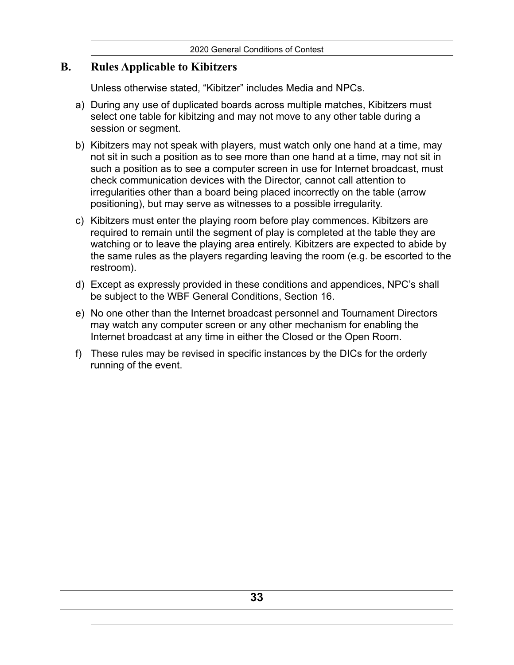## **B. Rules Applicable to Kibitzers**

<span id="page-35-0"></span>Unless otherwise stated, "Kibitzer" includes Media and NPCs.

- a) During any use of duplicated boards across multiple matches, Kibitzers must select one table for kibitzing and may not move to any other table during a session or segment.
- b) Kibitzers may not speak with players, must watch only one hand at a time, may not sit in such a position as to see more than one hand at a time, may not sit in such a position as to see a computer screen in use for Internet broadcast, must check communication devices with the Director, cannot call attention to irregularities other than a board being placed incorrectly on the table (arrow positioning), but may serve as witnesses to a possible irregularity.
- c) Kibitzers must enter the playing room before play commences. Kibitzers are required to remain until the segment of play is completed at the table they are watching or to leave the playing area entirely. Kibitzers are expected to abide by the same rules as the players regarding leaving the room (e.g. be escorted to the restroom).
- d) Except as expressly provided in these conditions and appendices, NPC's shall be subject to the WBF General Conditions, Section 16.
- e) No one other than the Internet broadcast personnel and Tournament Directors may watch any computer screen or any other mechanism for enabling the Internet broadcast at any time in either the Closed or the Open Room.
- f) These rules may be revised in specific instances by the DICs for the orderly running of the event.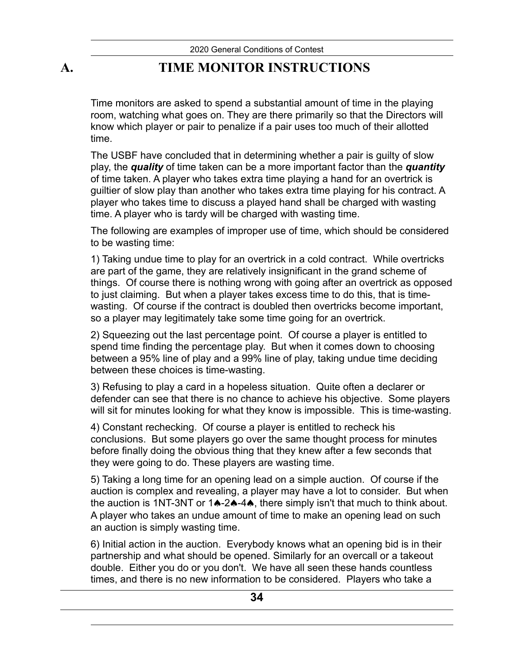# **A. TIME MONITOR INSTRUCTIONS**

<span id="page-36-0"></span>Time monitors are asked to spend a substantial amount of time in the playing room, watching what goes on. They are there primarily so that the Directors will know which player or pair to penalize if a pair uses too much of their allotted time.

The USBF have concluded that in determining whether a pair is guilty of slow play, the *quality* of time taken can be a more important factor than the *quantity* of time taken. A player who takes extra time playing a hand for an overtrick is guiltier of slow play than another who takes extra time playing for his contract. A player who takes time to discuss a played hand shall be charged with wasting time. A player who is tardy will be charged with wasting time.

The following are examples of improper use of time, which should be considered to be wasting time:

1) Taking undue time to play for an overtrick in a cold contract. While overtricks are part of the game, they are relatively insignificant in the grand scheme of things. Of course there is nothing wrong with going after an overtrick as opposed to just claiming. But when a player takes excess time to do this, that is timewasting. Of course if the contract is doubled then overtricks become important, so a player may legitimately take some time going for an overtrick.

2) Squeezing out the last percentage point. Of course a player is entitled to spend time finding the percentage play. But when it comes down to choosing between a 95% line of play and a 99% line of play, taking undue time deciding between these choices is time-wasting.

3) Refusing to play a card in a hopeless situation. Quite often a declarer or defender can see that there is no chance to achieve his objective. Some players will sit for minutes looking for what they know is impossible. This is time-wasting.

4) Constant rechecking. Of course a player is entitled to recheck his conclusions. But some players go over the same thought process for minutes before finally doing the obvious thing that they knew after a few seconds that they were going to do. These players are wasting time.

5) Taking a long time for an opening lead on a simple auction. Of course if the auction is complex and revealing, a player may have a lot to consider. But when the auction is 1NT-3NT or 1♠-2♠-4♠, there simply isn't that much to think about. A player who takes an undue amount of time to make an opening lead on such an auction is simply wasting time.

6) Initial action in the auction. Everybody knows what an opening bid is in their partnership and what should be opened. Similarly for an overcall or a takeout double. Either you do or you don't. We have all seen these hands countless times, and there is no new information to be considered. Players who take a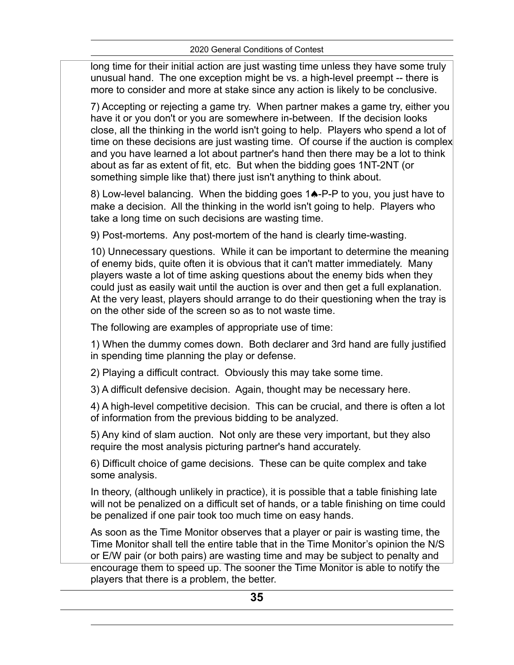2020 General Conditions of Contest

long time for their initial action are just wasting time unless they have some truly unusual hand. The one exception might be vs. a high-level preempt -- there is more to consider and more at stake since any action is likely to be conclusive.

7) Accepting or rejecting a game try. When partner makes a game try, either you have it or you don't or you are somewhere in-between. If the decision looks close, all the thinking in the world isn't going to help. Players who spend a lot of time on these decisions are just wasting time. Of course if the auction is complex and you have learned a lot about partner's hand then there may be a lot to think about as far as extent of fit, etc. But when the bidding goes 1NT-2NT (or something simple like that) there just isn't anything to think about.

8) Low-level balancing. When the bidding goes 1♠-P-P to you, you just have to make a decision. All the thinking in the world isn't going to help. Players who take a long time on such decisions are wasting time.

9) Post-mortems. Any post-mortem of the hand is clearly time-wasting.

10) Unnecessary questions. While it can be important to determine the meaning of enemy bids, quite often it is obvious that it can't matter immediately. Many players waste a lot of time asking questions about the enemy bids when they could just as easily wait until the auction is over and then get a full explanation. At the very least, players should arrange to do their questioning when the tray is on the other side of the screen so as to not waste time.

The following are examples of appropriate use of time:

1) When the dummy comes down. Both declarer and 3rd hand are fully justified in spending time planning the play or defense.

2) Playing a difficult contract. Obviously this may take some time.

3) A difficult defensive decision. Again, thought may be necessary here.

4) A high-level competitive decision. This can be crucial, and there is often a lot of information from the previous bidding to be analyzed.

5) Any kind of slam auction. Not only are these very important, but they also require the most analysis picturing partner's hand accurately.

6) Difficult choice of game decisions. These can be quite complex and take some analysis.

In theory, (although unlikely in practice), it is possible that a table finishing late will not be penalized on a difficult set of hands, or a table finishing on time could be penalized if one pair took too much time on easy hands.

As soon as the Time Monitor observes that a player or pair is wasting time, the Time Monitor shall tell the entire table that in the Time Monitor's opinion the N/S or E/W pair (or both pairs) are wasting time and may be subject to penalty and encourage them to speed up. The sooner the Time Monitor is able to notify the players that there is a problem, the better.